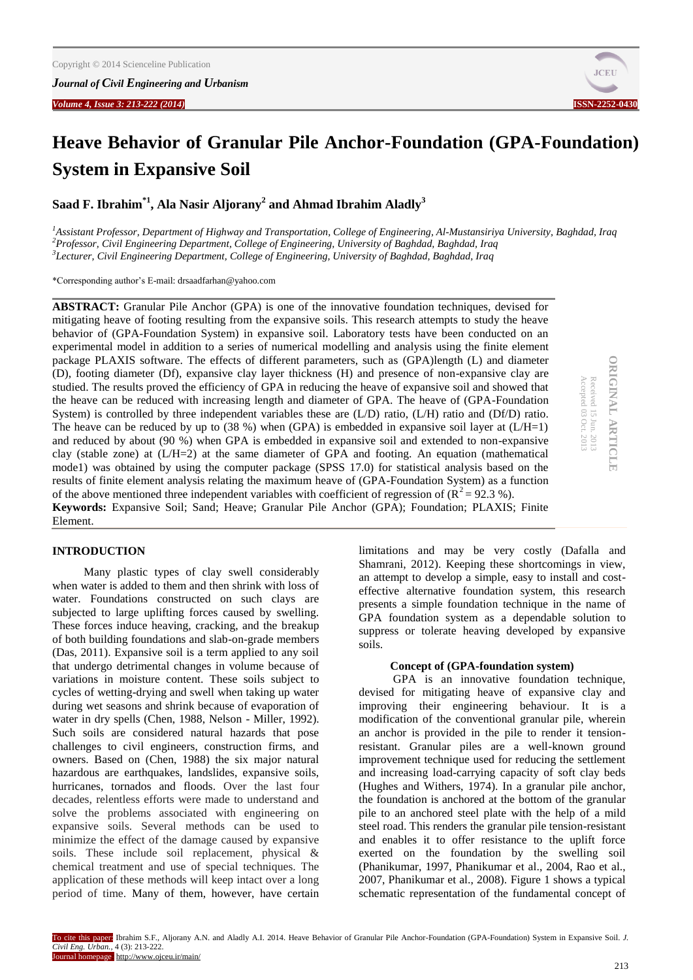

# **Heave Behavior of Granular Pile Anchor-Foundation (GPA-Foundation) System in Expansive Soil**

**Saad F. Ibrahim\*1, Ala Nasir Aljorany<sup>2</sup> and Ahmad Ibrahim Aladly<sup>3</sup>**

*<sup>1</sup>Assistant Professor, Department of Highway and Transportation, College of Engineering, Al-Mustansiriya University, Baghdad, Iraq <sup>2</sup>Professor, Civil Engineering Department, College of Engineering, University of Baghdad, Baghdad, Iraq 3 Lecturer, Civil Engineering Department, College of Engineering, University of Baghdad, Baghdad, Iraq* 

\*Corresponding author's E-mail: drsaadfarhan@yahoo.com

**ABSTRACT:** Granular Pile Anchor (GPA) is one of the innovative foundation techniques, devised for mitigating heave of footing resulting from the expansive soils. This research attempts to study the heave behavior of (GPA-Foundation System) in expansive soil. Laboratory tests have been conducted on an experimental model in addition to a series of numerical modelling and analysis using the finite element package PLAXIS software. The effects of different parameters, such as (GPA)length (L) and diameter (D), footing diameter (Df), expansive clay layer thickness (H) and presence of non-expansive clay are studied. The results proved the efficiency of GPA in reducing the heave of expansive soil and showed that the heave can be reduced with increasing length and diameter of GPA. The heave of (GPA-Foundation System) is controlled by three independent variables these are (L/D) ratio, (L/H) ratio and (Df/D) ratio. The heave can be reduced by up to  $(38\%)$  when  $(GPA)$  is embedded in expansive soil layer at  $(L/H=1)$ and reduced by about (90 %) when GPA is embedded in expansive soil and extended to non-expansive clay (stable zone) at (L/H=2) at the same diameter of GPA and footing. An equation (mathematical mode1) was obtained by using the computer package (SPSS 17.0) for statistical analysis based on the results of finite element analysis relating the maximum heave of (GPA-Foundation System) as a function of the above mentioned three independent variables with coefficient of regression of  $(R^2 = 92.3 \text{ %})$ . **Keywords:** Expansive Soil; Sand; Heave; Granular Pile Anchor (GPA); Foundation; PLAXIS; Finite Element.

## **ORIGINAL ARTICLE ORIGINAL ARTICLE** Received 15 Jun. 2013<br>Accepted 03 Oct. 2013 Accepted 03 Oct. 2013 Received 15 Jun. 2013

**INTRODUCTION** 

Many plastic types of clay swell considerably when water is added to them and then shrink with loss of water. Foundations constructed on such clays are subjected to large uplifting forces caused by swelling. These forces induce heaving, cracking, and the breakup of both building foundations and slab-on-grade members (Das, 2011). Expansive soil is a term applied to any soil that undergo detrimental changes in volume because of variations in moisture content. These soils subject to cycles of wetting-drying and swell when taking up water during wet seasons and shrink because of evaporation of water in dry spells (Chen, 1988, Nelson - Miller, 1992). Such soils are considered natural hazards that pose challenges to civil engineers, construction firms, and owners. Based on (Chen, 1988) the six major natural hazardous are earthquakes, landslides, expansive soils, hurricanes, tornados and floods. Over the last four decades, relentless efforts were made to understand and solve the problems associated with engineering on expansive soils. Several methods can be used to minimize the effect of the damage caused by expansive soils. These include soil replacement, physical & chemical treatment and use of special techniques. The application of these methods will keep intact over a long period of time. Many of them, however, have certain limitations and may be very costly (Dafalla and Shamrani, 2012). Keeping these shortcomings in view, an attempt to develop a simple, easy to install and costeffective alternative foundation system, this research presents a simple foundation technique in the name of GPA foundation system as a dependable solution to suppress or tolerate heaving developed by expansive soils.

## **Concept of (GPA-foundation system)**

GPA is an innovative foundation technique, devised for mitigating heave of expansive clay and improving their engineering behaviour. It is a modification of the conventional granular pile, wherein an anchor is provided in the pile to render it tensionresistant. Granular piles are a well-known ground improvement technique used for reducing the settlement and increasing load-carrying capacity of soft clay beds (Hughes and Withers, 1974). In a granular pile anchor, the foundation is anchored at the bottom of the granular pile to an anchored steel plate with the help of a mild steel road. This renders the granular pile tension-resistant and enables it to offer resistance to the uplift force exerted on the foundation by the swelling soil (Phanikumar, 1997, Phanikumar et al., 2004, Rao et al., 2007, Phanikumar et al., 2008). Figure 1 shows a typical schematic representation of the fundamental concept of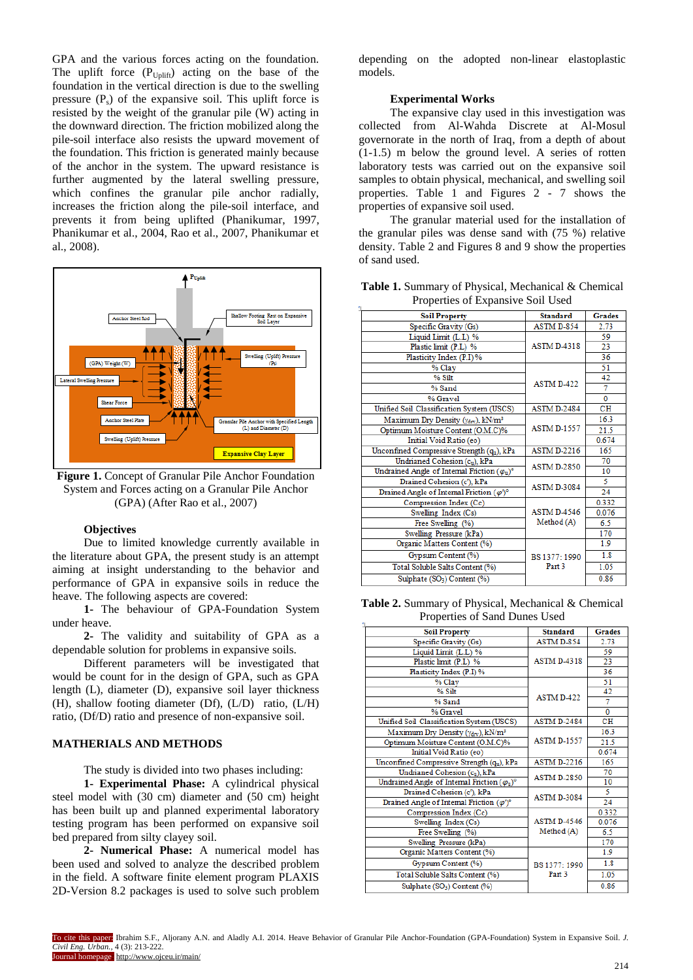GPA and the various forces acting on the foundation. The uplift force  $(P_{\text{Unlift}})$  acting on the base of the foundation in the vertical direction is due to the swelling pressure  $(P_s)$  of the expansive soil. This uplift force is resisted by the weight of the granular pile (W) acting in the downward direction. The friction mobilized along the pile-soil interface also resists the upward movement of the foundation. This friction is generated mainly because of the anchor in the system. The upward resistance is further augmented by the lateral swelling pressure, which confines the granular pile anchor radially, increases the friction along the pile-soil interface, and prevents it from being uplifted (Phanikumar, 1997, Phanikumar et al., 2004, Rao et al., 2007, Phanikumar et al., 2008).



**Figure 1.** Concept of Granular Pile Anchor Foundation System and Forces acting on a Granular Pile Anchor (GPA) (After Rao et al., 2007)

## **Objectives**

Due to limited knowledge currently available in the literature about GPA, the present study is an attempt aiming at insight understanding to the behavior and performance of GPA in expansive soils in reduce the heave. The following aspects are covered:

**1-** The behaviour of GPA-Foundation System under heave.

**2-** The validity and suitability of GPA as a dependable solution for problems in expansive soils.

Different parameters will be investigated that would be count for in the design of GPA, such as GPA length (L), diameter (D), expansive soil layer thickness (H), shallow footing diameter (Df), (L/D) ratio, (L/H) ratio, (Df/D) ratio and presence of non-expansive soil.

## **MATHERIALS AND METHODS**

The study is divided into two phases including:

**1- Experimental Phase:** A cylindrical physical steel model with (30 cm) diameter and (50 cm) height has been built up and planned experimental laboratory testing program has been performed on expansive soil bed prepared from silty clayey soil.

**2- Numerical Phase:** A numerical model has been used and solved to analyze the described problem in the field. A software finite element program PLAXIS 2D-Version 8.2 packages is used to solve such problem depending on the adopted non-linear elastoplastic models.

#### **Experimental Works**

The expansive clay used in this investigation was collected from Al-Wahda Discrete at Al-Mosul governorate in the north of Iraq, from a depth of about (1-1.5) m below the ground level. A series of rotten laboratory tests was carried out on the expansive soil samples to obtain physical, mechanical, and swelling soil properties. Table 1 and Figures 2 - 7 shows the properties of expansive soil used.

The granular material used for the installation of the granular piles was dense sand with (75 %) relative density. Table 2 and Figures 8 and 9 show the properties of sand used.

| 110 perciso of Expansive Bolf Ssea                       |                    |           |
|----------------------------------------------------------|--------------------|-----------|
| <b>Soil Property</b>                                     | <b>Standard</b>    | Grades    |
| Specific Gravity (Gs)                                    | ASTM D-854         | 2.73      |
| Liquid Limit (L.L) %                                     |                    | 59        |
| Plastic limit (P.L) %                                    | <b>ASTM D-4318</b> | 23        |
| Plasticity Index (P.I) %                                 |                    | 36        |
| % Clay                                                   |                    | 51        |
| % Silt                                                   |                    | 42        |
| % Sand                                                   | <b>ASTM D-422</b>  | $\tau$    |
| % Gravel                                                 |                    | $\Omega$  |
| Unified Soil Classification System (USCS)                | <b>ASTM D-2484</b> | <b>CH</b> |
| Maximum Dry Density (Ydry), kN/m <sup>3</sup>            |                    | 16.3      |
| Optimum Moisture Content (O.M.C)%                        | <b>ASTM D-1557</b> | 21.5      |
| Initial Void Ratio (eo)                                  |                    | 0.674     |
| Unconfined Compressive Strength (qu), kPa                | <b>ASTM D-2216</b> | 165       |
| Undrianed Cohesion (cu), kPa                             |                    | 70        |
| Undrained Angle of Internal Friction $(\varphi_u)^\circ$ | <b>ASTM D-2850</b> | 10        |
| Drained Cohesion (c'), kPa                               | <b>ASTM D-3084</b> | 5.        |
| Drained Angle of Internal Friction $(\varphi')^{\circ}$  |                    | 24        |
| Compression Index (Cc)                                   |                    | 0.332     |
| Swelling Index (Cs)                                      | <b>ASTM D-4546</b> | 0.076     |
| Free Swelling (%)                                        | Method (A)         | 6.5       |
| Swelling Pressure (kPa)                                  |                    | 170       |
| Organic Matters Content (%)                              |                    | 1.9       |
| Gypsum Content (%)                                       | BS 1377: 1990      | 1.8       |
| Total Soluble Salts Content (%)                          | Part 3             | 1.05      |
| Sulphate (SO <sub>3</sub> ) Content (%)                  |                    | 0.86      |

**Table 1.** Summary of Physical, Mechanical & Chemical Properties of Expansive Soil Used

**Table 2.** Summary of Physical, Mechanical & Chemical Properties of Sand Dunes Used

| <b>Soil Property</b>                                          | <b>Standard</b>    | Grades    |
|---------------------------------------------------------------|--------------------|-----------|
| Specific Gravity (Gs)                                         | ASTM D-854         | 2.73      |
| Liquid Limit (L.L) %                                          |                    |           |
| Plastic limit (P.L) %                                         | <b>ASTM D-4318</b> | 23        |
| Plasticity Index (P.I) %                                      |                    | 36        |
| % Clay                                                        |                    | 51        |
| $%$ Silt                                                      | <b>ASTM D-422</b>  | 42        |
| % Sand                                                        |                    | 7         |
| % Gravel                                                      |                    | $\bf{0}$  |
| Unified Soil Classification System (USCS)                     | <b>ASTM D-2484</b> | <b>CH</b> |
| Maximum Dry Density ( $\gamma_{\rm dry}$ ), kN/m <sup>3</sup> |                    | 16.3      |
| Optimum Moisture Content (O.M.C)%                             | <b>ASTM D-1557</b> | 21.5      |
| Initial Void Ratio (eo)                                       |                    | 0.674     |
| Unconfined Compressive Strength (qu), kPa                     | <b>ASTM D-2216</b> | 165       |
| Undrianed Cohesion (cu), kPa<br><b>ASTM D-2850</b>            |                    | 70        |
| Undrained Angle of Internal Friction $(\varphi_u)^\circ$      |                    | 10        |
| Drained Cohesion (c'), kPa                                    | <b>ASTM D-3084</b> | 5         |
| Drained Angle of Internal Friction $(\varphi')^{\circ}$       |                    | 24        |
| Compression Index (Cc)                                        |                    | 0.332     |
| Swelling Index (Cs)                                           | <b>ASTM D-4546</b> | 0.076     |
| Free Swelling (%)                                             | Method (A)         | 6.5       |
| Swelling Pressure (kPa)                                       |                    | 170       |
| Organic Matters Content (%)                                   |                    | 1.9       |
| Gypsum Content (%)                                            | BS 1377: 1990      | 1.8       |
| Total Soluble Salts Content (%)                               | Part 3             | 1.05      |
| Sulphate (SO <sub>3</sub> ) Content (%)                       |                    | 0.86      |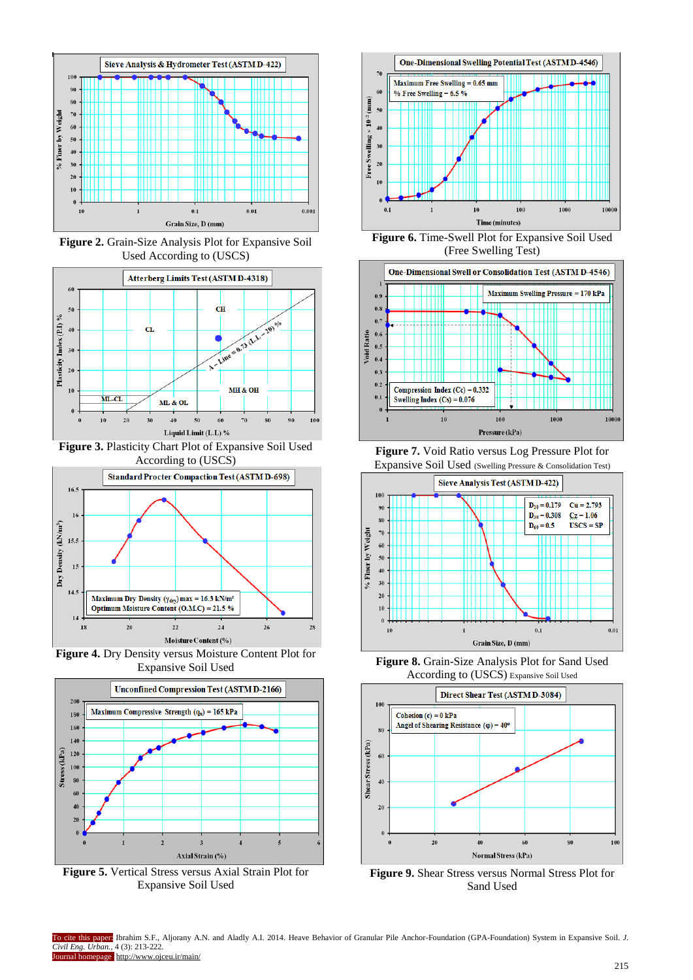

**Figure 2.** Grain-Size Analysis Plot for Expansive Soil Used According to (USCS)



**Figure 3.** Plasticity Chart Plot of Expansive Soil Used According to (USCS)



**Figure 4.** Dry Density versus Moisture Content Plot for Expansive Soil Used



**Figure 5.** Vertical Stress versus Axial Strain Plot for Expansive Soil Used







**Figure 7.** Void Ratio versus Log Pressure Plot for Expansive Soil Used (Swelling Pressure & Consolidation Test)



**Figure 8.** Grain-Size Analysis Plot for Sand Used According to (USCS) Expansive Soil Used



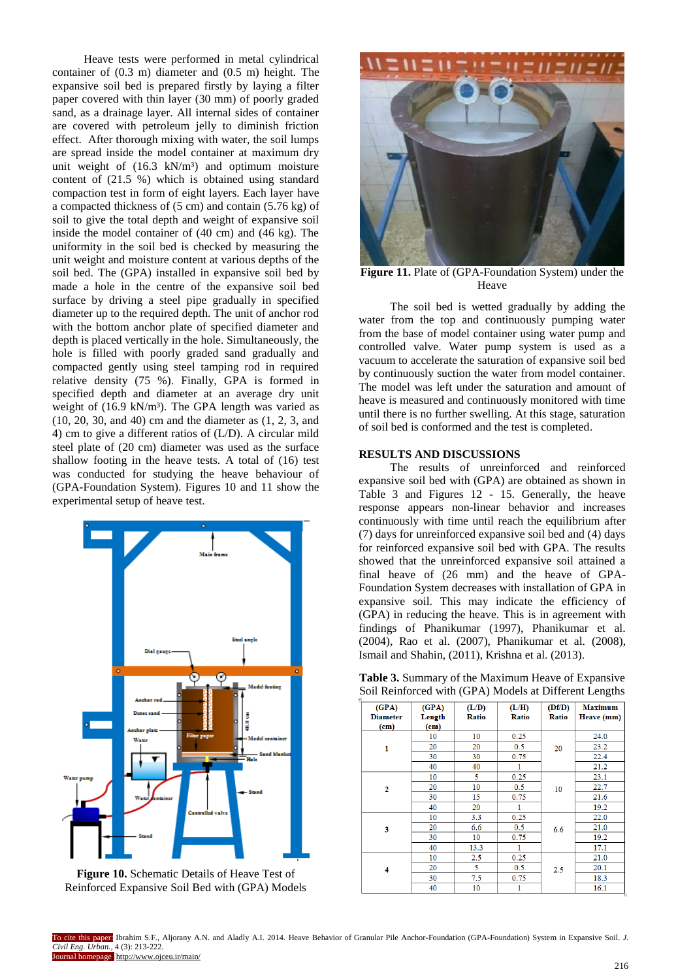Heave tests were performed in metal cylindrical container of (0.3 m) diameter and (0.5 m) height. The expansive soil bed is prepared firstly by laying a filter paper covered with thin layer (30 mm) of poorly graded sand, as a drainage layer. All internal sides of container are covered with petroleum jelly to diminish friction effect. After thorough mixing with water, the soil lumps are spread inside the model container at maximum dry unit weight of  $(16.3 \text{ kN/m}^3)$  and optimum moisture content of (21.5 %) which is obtained using standard compaction test in form of eight layers. Each layer have a compacted thickness of (5 cm) and contain (5.76 kg) of soil to give the total depth and weight of expansive soil inside the model container of (40 cm) and (46 kg). The uniformity in the soil bed is checked by measuring the unit weight and moisture content at various depths of the soil bed. The (GPA) installed in expansive soil bed by made a hole in the centre of the expansive soil bed surface by driving a steel pipe gradually in specified diameter up to the required depth. The unit of anchor rod with the bottom anchor plate of specified diameter and depth is placed vertically in the hole. Simultaneously, the hole is filled with poorly graded sand gradually and compacted gently using steel tamping rod in required relative density (75 %). Finally, GPA is formed in specified depth and diameter at an average dry unit weight of (16.9 kN/m<sup>3</sup>). The GPA length was varied as (10, 20, 30, and 40) cm and the diameter as (1, 2, 3, and 4) cm to give a different ratios of (L/D). A circular mild steel plate of (20 cm) diameter was used as the surface shallow footing in the heave tests. A total of (16) test was conducted for studying the heave behaviour of (GPA-Foundation System). Figures 10 and 11 show the experimental setup of heave test.



**Figure 10.** Schematic Details of Heave Test of Reinforced Expansive Soil Bed with (GPA) Models



**Figure 11.** Plate of (GPA-Foundation System) under the Heave

The soil bed is wetted gradually by adding the water from the top and continuously pumping water from the base of model container using water pump and controlled valve. Water pump system is used as a vacuum to accelerate the saturation of expansive soil bed by continuously suction the water from model container. The model was left under the saturation and amount of heave is measured and continuously monitored with time until there is no further swelling. At this stage, saturation of soil bed is conformed and the test is completed.

## **RESULTS AND DISCUSSIONS**

The results of unreinforced and reinforced expansive soil bed with (GPA) are obtained as shown in Table 3 and Figures 12 - 15. Generally, the heave response appears non-linear behavior and increases continuously with time until reach the equilibrium after (7) days for unreinforced expansive soil bed and (4) days for reinforced expansive soil bed with GPA. The results showed that the unreinforced expansive soil attained a final heave of (26 mm) and the heave of GPA-Foundation System decreases with installation of GPA in expansive soil. This may indicate the efficiency of (GPA) in reducing the heave. This is in agreement with findings of Phanikumar (1997), Phanikumar et al. (2004), Rao et al. (2007), Phanikumar et al. (2008), Ismail and Shahin, (2011), Krishna et al. (2013).

**Table 3.** Summary of the Maximum Heave of Expansive Soil Reinforced with (GPA) Models at Different Lengths

| (GPA)             | (GPA)             | (L/D) | (L/H) | (Df/D) | <b>Maximum</b> |
|-------------------|-------------------|-------|-------|--------|----------------|
| <b>Diameter</b>   | Length            | Ratio | Ratio | Ratio  | Heave (mm)     |
| (c <sub>m</sub> ) | (c <sub>m</sub> ) |       |       |        |                |
|                   | 10                | 10    | 0.25  |        | 24.0           |
| 1                 | 20                | 20    | 0.5   | 20     | 23.2           |
|                   | 30                | 30    | 0.75  |        | 22.4           |
|                   | 40                | 40    |       |        | 21.2           |
|                   | 10                | 5     | 0.25  |        | 23.1           |
| $\overline{2}$    | 20                | 10    | 0.5   | 10     | 22.7           |
|                   | 30                | 15    | 0.75  |        | 21.6           |
|                   | 40                | 20    | 1     |        | 19.2           |
|                   | 10                | 3.3   | 0.25  |        | 22.0           |
| 3                 | 20                | 6.6   | 0.5   | 6.6    | 21.0           |
|                   | 30                | 10    | 0.75  |        | 19.2           |
|                   | 40                | 13.3  | 1     |        | 17.1           |
|                   | 10                | 2.5   | 0.25  |        | 21.0           |
| 4                 | 20                | 5     | 0.5   | 2.5    | 20.1           |
|                   | 30                | 7.5   | 0.75  |        | 18.3           |
|                   | 40                | 10    |       |        | 161            |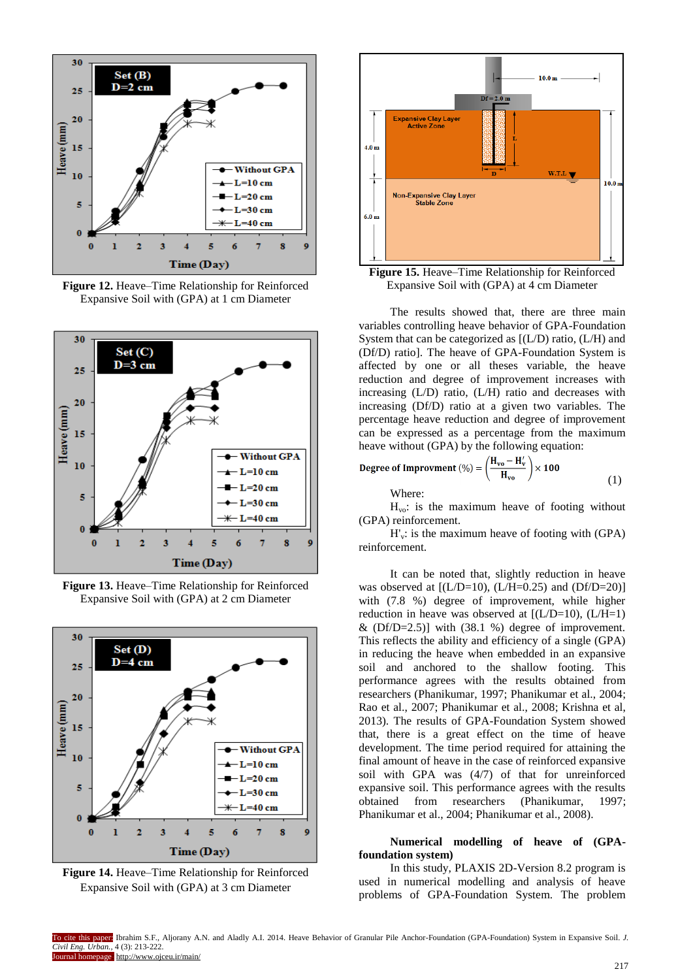

**Figure 12.** Heave–Time Relationship for Reinforced Expansive Soil with (GPA) at 1 cm Diameter



**Figure 13.** Heave–Time Relationship for Reinforced Expansive Soil with (GPA) at 2 cm Diameter



**Figure 14.** Heave–Time Relationship for Reinforced Expansive Soil with (GPA) at 3 cm Diameter



**Figure 15.** Heave–Time Relationship for Reinforced Expansive Soil with (GPA) at 4 cm Diameter

The results showed that, there are three main variables controlling heave behavior of GPA-Foundation System that can be categorized as [(L/D) ratio, (L/H) and (Df/D) ratio]. The heave of GPA-Foundation System is affected by one or all theses variable, the heave reduction and degree of improvement increases with increasing (L/D) ratio, (L/H) ratio and decreases with increasing (Df/D) ratio at a given two variables. The percentage heave reduction and degree of improvement can be expressed as a percentage from the maximum heave without (GPA) by the following equation:

Degree of Important (%) = 
$$
\left(\frac{H_{vo} - H'_v}{H_{vo}}\right) \times 100
$$
 (1)  
Where:

 $H_{\text{vo}}$ : is the maximum heave of footing without (GPA) reinforcement.

 $H_v$ : is the maximum heave of footing with (GPA) reinforcement.

It can be noted that, slightly reduction in heave was observed at  $[(L/D=10), (L/H=0.25)$  and  $(Df/D=20)]$ with (7.8 %) degree of improvement, while higher reduction in heave was observed at  $(L/D=10)$ ,  $(L/H=1)$ &  $(Df/D=2.5)$ ] with  $(38.1 \%)$  degree of improvement. This reflects the ability and efficiency of a single (GPA) in reducing the heave when embedded in an expansive soil and anchored to the shallow footing. This performance agrees with the results obtained from researchers (Phanikumar, 1997; Phanikumar et al., 2004; Rao et al., 2007; Phanikumar et al., 2008; Krishna et al, 2013). The results of GPA-Foundation System showed that, there is a great effect on the time of heave development. The time period required for attaining the final amount of heave in the case of reinforced expansive soil with GPA was (4/7) of that for unreinforced expansive soil. This performance agrees with the results obtained from researchers (Phanikumar, 1997; Phanikumar et al., 2004; Phanikumar et al., 2008).

**Numerical modelling of heave of (GPAfoundation system)**

In this study, PLAXIS 2D-Version 8.2 program is used in numerical modelling and analysis of heave problems of GPA-Foundation System. The problem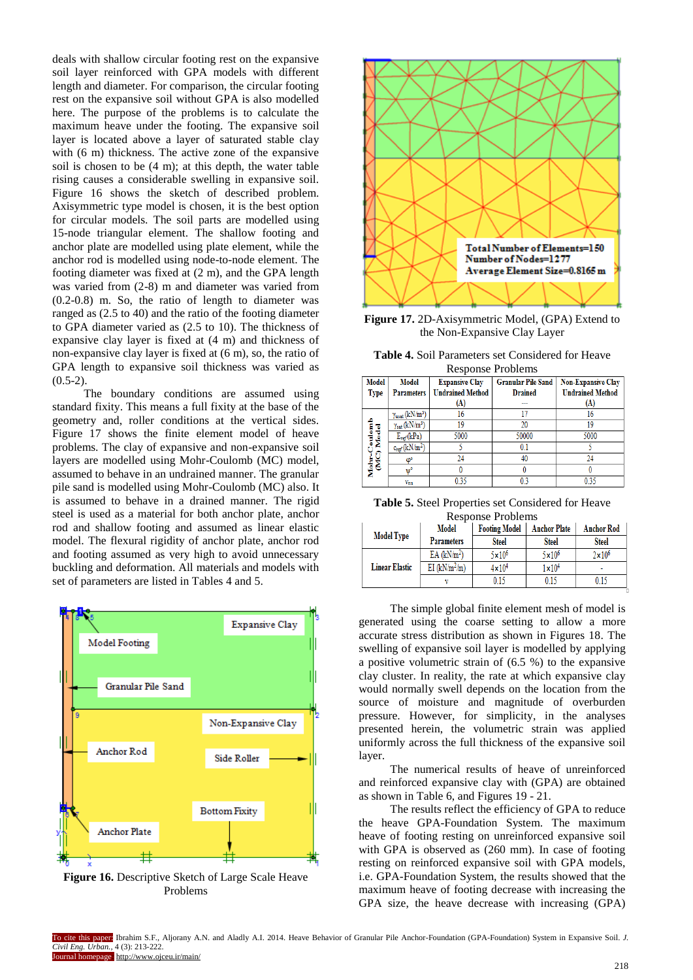deals with shallow circular footing rest on the expansive soil layer reinforced with GPA models with different length and diameter. For comparison, the circular footing rest on the expansive soil without GPA is also modelled here. The purpose of the problems is to calculate the maximum heave under the footing. The expansive soil layer is located above a layer of saturated stable clay with (6 m) thickness. The active zone of the expansive soil is chosen to be (4 m); at this depth, the water table rising causes a considerable swelling in expansive soil. Figure 16 shows the sketch of described problem. Axisymmetric type model is chosen, it is the best option for circular models. The soil parts are modelled using 15-node triangular element. The shallow footing and anchor plate are modelled using plate element, while the anchor rod is modelled using node-to-node element. The footing diameter was fixed at (2 m), and the GPA length was varied from (2-8) m and diameter was varied from (0.2-0.8) m. So, the ratio of length to diameter was ranged as (2.5 to 40) and the ratio of the footing diameter to GPA diameter varied as (2.5 to 10). The thickness of expansive clay layer is fixed at (4 m) and thickness of non-expansive clay layer is fixed at (6 m), so, the ratio of GPA length to expansive soil thickness was varied as  $(0.5-2)$ .

The boundary conditions are assumed using standard fixity. This means a full fixity at the base of the geometry and, roller conditions at the vertical sides. Figure 17 shows the finite element model of heave problems. The clay of expansive and non-expansive soil layers are modelled using Mohr-Coulomb (MC) model, assumed to behave in an undrained manner. The granular pile sand is modelled using Mohr-Coulomb (MC) also. It is assumed to behave in a drained manner. The rigid steel is used as a material for both anchor plate, anchor rod and shallow footing and assumed as linear elastic model. The flexural rigidity of anchor plate, anchor rod and footing assumed as very high to avoid unnecessary buckling and deformation. All materials and models with set of parameters are listed in Tables 4 and 5.



**Figure 16.** Descriptive Sketch of Large Scale Heave Problems



**Figure 17.** 2D-Axisymmetric Model, (GPA) Extend to the Non-Expansive Clay Layer

|  | <b>Table 4.</b> Soil Parameters set Considered for Heave |  |
|--|----------------------------------------------------------|--|
|  | Response Problems                                        |  |

| <b>Model</b>               | Model                          | <b>Expansive Clay</b>   | <b>Granular Pile Sand</b> | <b>Non-Expansive Clay</b> |  |  |
|----------------------------|--------------------------------|-------------------------|---------------------------|---------------------------|--|--|
| <b>Type</b>                | <b>Parameters</b>              | <b>Undrained Method</b> | <b>Drained</b>            | <b>Undrained Method</b>   |  |  |
|                            |                                | (A)                     | ---                       | (A)                       |  |  |
|                            | $\gamma_{\text{usat}}(kN/m^3)$ | 16                      | 17                        | 16                        |  |  |
|                            | $\gamma_{\text{sat}}(kN/m^3)$  | 19                      | 20                        | 19                        |  |  |
|                            | $E_{ref}(kPa)$                 | 5000                    | 50000                     | 5000                      |  |  |
|                            | $c_{ref}$ (kN/m <sup>2</sup> ) |                         | 0.1                       |                           |  |  |
|                            | $\varphi$ <sup>o</sup>         | 24                      | 40                        | 24                        |  |  |
| Mohr-Coulomb<br>(MC) Model |                                |                         |                           |                           |  |  |
|                            | $v_{\rm nu}$                   | 0.35                    | 0.3                       | 0.35                      |  |  |

**Table 5.** Steel Properties set Considered for Heave Response Problems

|                       | <b>Model</b>           | <b>Footing Model</b> | <b>Anchor Plate</b> | <b>Anchor Rod</b> |
|-----------------------|------------------------|----------------------|---------------------|-------------------|
| <b>Model Type</b>     | <b>Parameters</b>      | <b>Steel</b>         | <b>Steel</b>        | <b>Steel</b>      |
|                       | EA(kN/m <sup>2</sup> ) | $5 \times 10^6$      | $5 \times 10^6$     | $2 \times 10^6$   |
| <b>Linear Elastic</b> | EI $(kN/m^2/m)$        | $4 \times 10^4$      | $1 \times 10^4$     | ۰                 |
|                       |                        | ) 15                 | 115                 | 0 1 5             |

The simple global finite element mesh of model is generated using the coarse setting to allow a more accurate stress distribution as shown in Figures 18. The swelling of expansive soil layer is modelled by applying a positive volumetric strain of (6.5 %) to the expansive clay cluster. In reality, the rate at which expansive clay would normally swell depends on the location from the source of moisture and magnitude of overburden pressure. However, for simplicity, in the analyses presented herein, the volumetric strain was applied uniformly across the full thickness of the expansive soil layer.

The numerical results of heave of unreinforced and reinforced expansive clay with (GPA) are obtained as shown in Table 6, and Figures 19 - 21.

The results reflect the efficiency of GPA to reduce the heave GPA-Foundation System. The maximum heave of footing resting on unreinforced expansive soil with GPA is observed as (260 mm). In case of footing resting on reinforced expansive soil with GPA models, i.e. GPA-Foundation System, the results showed that the maximum heave of footing decrease with increasing the GPA size, the heave decrease with increasing (GPA)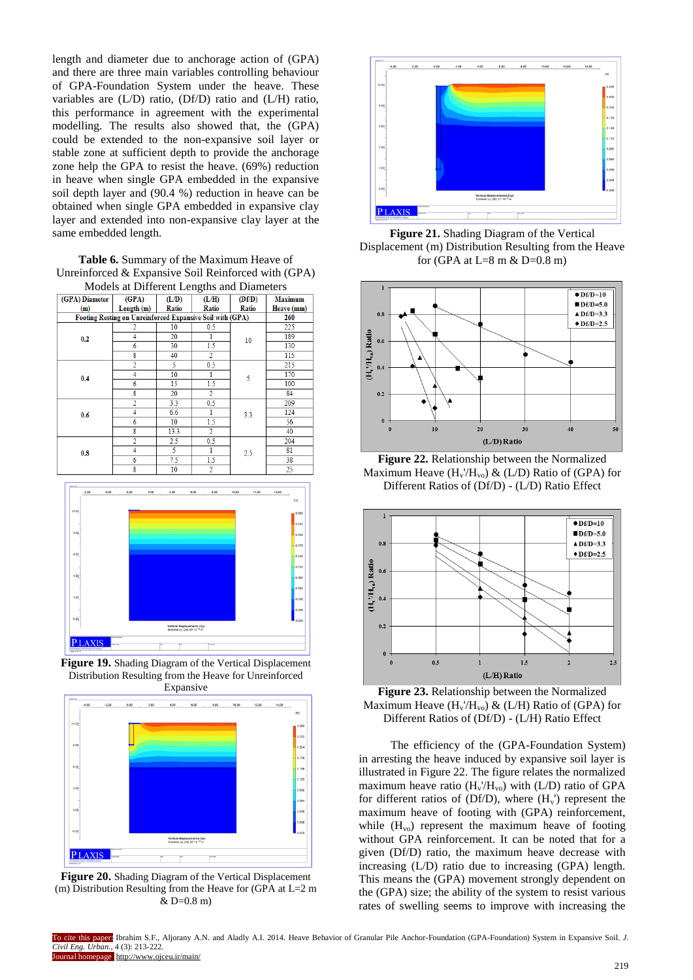length and diameter due to anchorage action of (GPA) and there are three main variables controlling behaviour of GPA-Foundation System under the heave. These variables are (L/D) ratio, (Df/D) ratio and (L/H) ratio, this performance in agreement with the experimental modelling. The results also showed that, the (GPA) could be extended to the non-expansive soil layer or stable zone at sufficient depth to provide the anchorage zone help the GPA to resist the heave. (69%) reduction in heave when single GPA embedded in the expansive soil depth layer and (90.4 %) reduction in heave can be obtained when single GPA embedded in expansive clay layer and extended into non-expansive clay layer at the same embedded length.

**Table 6.** Summary of the Maximum Heave of Unreinforced & Expansive Soil Reinforced with (GPA) Models at Different Lengths and Diameters

|                | $\sim$                                                    |                |                |        |                |  |  |
|----------------|-----------------------------------------------------------|----------------|----------------|--------|----------------|--|--|
| (GPA) Diameter | (GPA)                                                     | (L/D)          | (L/H)          | (Df/D) | <b>Maximum</b> |  |  |
| (m)            | Length(m)                                                 | Ratio<br>Ratio |                | Ratio  | Heave (mm)     |  |  |
|                | Footing Resting on Unreinforced Expansive Soil with (GPA) |                |                |        | 260            |  |  |
|                |                                                           | 10             | 0.5            |        | 225            |  |  |
| 0.2            |                                                           | 20             |                | 10     | 189            |  |  |
|                | 6                                                         | 30             | 1.5            |        | 130            |  |  |
|                | 8                                                         | 40             | $\overline{2}$ |        | 115            |  |  |
|                | $\overline{2}$                                            | 5              | 0.5            |        | 215            |  |  |
| 0.4            | 4                                                         | 10             |                | 5      | 170            |  |  |
|                | 6                                                         | 15             | 1.5            |        | 100            |  |  |
|                | 8                                                         | 20             | $\overline{2}$ |        | 84             |  |  |
|                | 2                                                         | 3.3            | 0.5            |        | 209            |  |  |
| 0.6            | 4                                                         | 6.6            |                | 3.3    | 124            |  |  |
|                | 6                                                         | 10             | 1.5            |        | 56             |  |  |
|                | 8                                                         | 13.3           | $\overline{2}$ |        | 40             |  |  |
|                | 2                                                         | 2.5            | 0.5            |        | 204            |  |  |
| 0.8            | 4                                                         | 5              |                | 2.5    | 81             |  |  |
|                | 6                                                         | 7.5            | 1.5            |        | 38             |  |  |
|                | 8                                                         | 10             | $\overline{c}$ |        | 25             |  |  |



**Figure 19.** Shading Diagram of the Vertical Displacement Distribution Resulting from the Heave for Unreinforced Expansive



**Figure 20.** Shading Diagram of the Vertical Displacement (m) Distribution Resulting from the Heave for (GPA at  $L=2$  m  $&$  D=0.8 m)



**Figure 21.** Shading Diagram of the Vertical Displacement (m) Distribution Resulting from the Heave for (GPA at  $L=8$  m & D=0.8 m)



**Figure 22.** Relationship between the Normalized Maximum Heave  $(H_v/H_{vo}) \& (L/D)$  Ratio of (GPA) for Different Ratios of (Df/D) - (L/D) Ratio Effect



**Figure 23.** Relationship between the Normalized Maximum Heave  $(H_v/H_{vo}) \& (L/H)$  Ratio of (GPA) for Different Ratios of (Df/D) - (L/H) Ratio Effect

The efficiency of the (GPA-Foundation System) in arresting the heave induced by expansive soil layer is illustrated in Figure 22. The figure relates the normalized maximum heave ratio  $(H_v/H_{vo})$  with  $(L/D)$  ratio of GPA for different ratios of (Df/D), where  $(H_v)$  represent the maximum heave of footing with (GPA) reinforcement, while  $(H<sub>vo</sub>)$  represent the maximum heave of footing without GPA reinforcement. It can be noted that for a given (Df/D) ratio, the maximum heave decrease with increasing (L/D) ratio due to increasing (GPA) length. This means the (GPA) movement strongly dependent on the (GPA) size; the ability of the system to resist various rates of swelling seems to improve with increasing the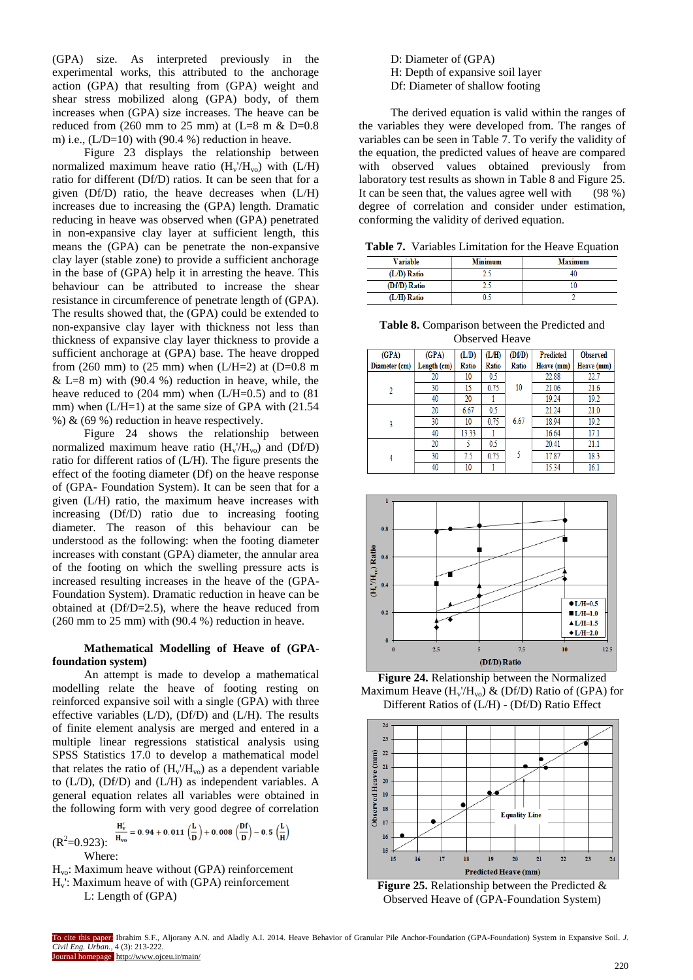(GPA) size. As interpreted previously in the experimental works, this attributed to the anchorage action (GPA) that resulting from (GPA) weight and shear stress mobilized along (GPA) body, of them increases when (GPA) size increases. The heave can be reduced from (260 mm to 25 mm) at (L=8 m  $\&$  D=0.8 m) i.e.,  $(L/D=10)$  with (90.4 %) reduction in heave.

Figure 23 displays the relationship between normalized maximum heave ratio  $(H_v/H_{vo})$  with  $(L/H)$ ratio for different (Df/D) ratios. It can be seen that for a given (Df/D) ratio, the heave decreases when (L/H) increases due to increasing the (GPA) length. Dramatic reducing in heave was observed when (GPA) penetrated in non-expansive clay layer at sufficient length, this means the (GPA) can be penetrate the non-expansive clay layer (stable zone) to provide a sufficient anchorage in the base of (GPA) help it in arresting the heave. This behaviour can be attributed to increase the shear resistance in circumference of penetrate length of (GPA). The results showed that, the (GPA) could be extended to non-expansive clay layer with thickness not less than thickness of expansive clay layer thickness to provide a sufficient anchorage at (GPA) base. The heave dropped from (260 mm) to (25 mm) when (L/H=2) at (D=0.8 m  $&$  L=8 m) with (90.4 %) reduction in heave, while, the heave reduced to (204 mm) when (L/H=0.5) and to (81) mm) when  $(L/H=1)$  at the same size of GPA with  $(21.54)$ %) & (69 %) reduction in heave respectively.

Figure 24 shows the relationship between normalized maximum heave ratio  $(H_v/H_{vo})$  and  $(Df/D)$ ratio for different ratios of (L/H). The figure presents the effect of the footing diameter (Df) on the heave response of (GPA- Foundation System). It can be seen that for a given (L/H) ratio, the maximum heave increases with increasing (Df/D) ratio due to increasing footing diameter. The reason of this behaviour can be understood as the following: when the footing diameter increases with constant (GPA) diameter, the annular area of the footing on which the swelling pressure acts is increased resulting increases in the heave of the (GPA-Foundation System). Dramatic reduction in heave can be obtained at (Df/D=2.5), where the heave reduced from (260 mm to 25 mm) with (90.4 %) reduction in heave.

## **Mathematical Modelling of Heave of (GPAfoundation system)**

An attempt is made to develop a mathematical modelling relate the heave of footing resting on reinforced expansive soil with a single (GPA) with three effective variables  $(L/D)$ ,  $(Df/D)$  and  $(L/H)$ . The results of finite element analysis are merged and entered in a multiple linear regressions statistical analysis using SPSS Statistics 17.0 to develop a mathematical model that relates the ratio of  $(H_v/H_{vo})$  as a dependent variable to (L/D), (Df/D) and (L/H) as independent variables. A general equation relates all variables were obtained in the following form with very good degree of correlation

$$
(R^2=0.923): \frac{H_v'}{H_{vo}} = 0.94 + 0.011 \left(\frac{L}{D}\right) + 0.008 \left(\frac{Df}{D}\right) - 0.5 \left(\frac{L}{H}\right)
$$

Where:

 $H<sub>vo</sub>$ : Maximum heave without (GPA) reinforcement Hv': Maximum heave of with (GPA) reinforcement L: Length of (GPA)

D: Diameter of (GPA) H: Depth of expansive soil layer Df: Diameter of shallow footing

The derived equation is valid within the ranges of the variables they were developed from. The ranges of variables can be seen in Table 7. To verify the validity of the equation, the predicted values of heave are compared with observed values obtained previously from laboratory test results as shown in Table 8 and Figure 25. It can be seen that, the values agree well with (98 %) degree of correlation and consider under estimation, conforming the validity of derived equation.

**Table 7.** Variables Limitation for the Heave Equation

| <b>Variable</b> | <b>Minimum</b> | <b>Maximum</b> |
|-----------------|----------------|----------------|
| (L/D) Ratio     |                |                |
| (Df/D) Ratio    |                |                |
| (L/H) Ratio     |                |                |

**Table 8.** Comparison between the Predicted and Observed Heave

| (GPA)          | (GPA)       | (L/D) | (L/H) | (Df/D) | <b>Predicted</b> | <b>Observed</b> |
|----------------|-------------|-------|-------|--------|------------------|-----------------|
| Diameter (cm)  | Length (cm) | Ratio | Ratio | Ratio  | Heave (mm)       | Heave (mm)      |
|                | 20          | 10    | 0.5   |        | 22.88            | 22.7            |
| $\overline{2}$ | 30          | 15    | 0.75  | 10     | 21.06            | 21.6            |
|                | 40          | 20    |       |        | 19.24            | 19.2            |
|                | 20          | 6.67  | 0.5   |        | 21.24            | 21.0            |
| 3              | 30          | 10    | 0.75  | 6.67   | 18.94            | 19.2            |
|                | 40          | 13.33 |       |        | 16.64            | 17.1            |
|                | 20          |       | 0.5   |        | 20.41            | 21.1            |
| 4              | 30          | 7.5   | 0.75  | 5      | 17.87            | 18.3            |
|                | 40          | 10    |       |        | 15.34            | 16.1            |



**Figure 24.** Relationship between the Normalized Maximum Heave  $(H_v/H_{vo})$  & (Df/D) Ratio of (GPA) for Different Ratios of (L/H) - (Df/D) Ratio Effect



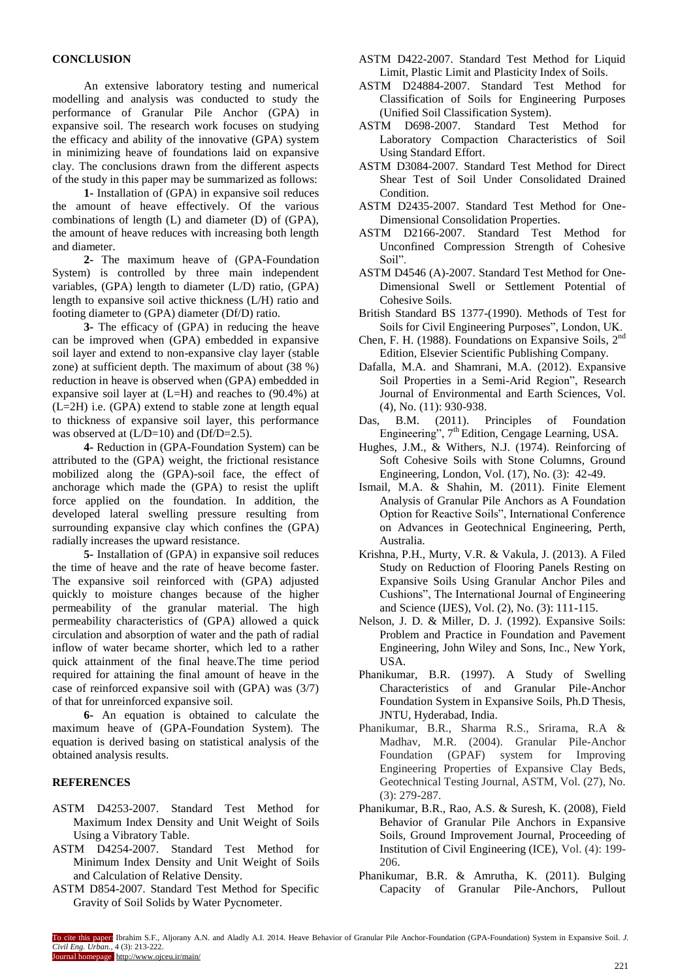## **CONCLUSION**

An extensive laboratory testing and numerical modelling and analysis was conducted to study the performance of Granular Pile Anchor (GPA) in expansive soil. The research work focuses on studying the efficacy and ability of the innovative (GPA) system in minimizing heave of foundations laid on expansive clay. The conclusions drawn from the different aspects of the study in this paper may be summarized as follows:

**1-** Installation of (GPA) in expansive soil reduces the amount of heave effectively. Of the various combinations of length (L) and diameter (D) of (GPA), the amount of heave reduces with increasing both length and diameter.

**2-** The maximum heave of (GPA-Foundation System) is controlled by three main independent variables, (GPA) length to diameter (L/D) ratio, (GPA) length to expansive soil active thickness (L/H) ratio and footing diameter to (GPA) diameter (Df/D) ratio.

**3-** The efficacy of (GPA) in reducing the heave can be improved when (GPA) embedded in expansive soil layer and extend to non-expansive clay layer (stable zone) at sufficient depth. The maximum of about (38 %) reduction in heave is observed when (GPA) embedded in expansive soil layer at (L=H) and reaches to (90.4%) at (L=2H) i.e. (GPA) extend to stable zone at length equal to thickness of expansive soil layer, this performance was observed at  $(L/D=10)$  and  $(Df/D=2.5)$ .

**4-** Reduction in (GPA-Foundation System) can be attributed to the (GPA) weight, the frictional resistance mobilized along the (GPA)-soil face, the effect of anchorage which made the (GPA) to resist the uplift force applied on the foundation. In addition, the developed lateral swelling pressure resulting from surrounding expansive clay which confines the (GPA) radially increases the upward resistance.

**5-** Installation of (GPA) in expansive soil reduces the time of heave and the rate of heave become faster. The expansive soil reinforced with (GPA) adjusted quickly to moisture changes because of the higher permeability of the granular material. The high permeability characteristics of (GPA) allowed a quick circulation and absorption of water and the path of radial inflow of water became shorter, which led to a rather quick attainment of the final heave.The time period required for attaining the final amount of heave in the case of reinforced expansive soil with (GPA) was (3/7) of that for unreinforced expansive soil.

**6-** An equation is obtained to calculate the maximum heave of (GPA-Foundation System). The equation is derived basing on statistical analysis of the obtained analysis results.

## **REFERENCES**

- ASTM D4253-2007. Standard Test Method for Maximum Index Density and Unit Weight of Soils Using a Vibratory Table.
- ASTM D4254-2007. Standard Test Method for Minimum Index Density and Unit Weight of Soils and Calculation of Relative Density.
- ASTM D854-2007. Standard Test Method for Specific Gravity of Soil Solids by Water Pycnometer.
- ASTM D422-2007. Standard Test Method for Liquid Limit, Plastic Limit and Plasticity Index of Soils.
- ASTM D24884-2007. Standard Test Method for Classification of Soils for Engineering Purposes (Unified Soil Classification System).
- ASTM D698-2007. Standard Test Method for Laboratory Compaction Characteristics of Soil Using Standard Effort.
- ASTM D3084-2007. Standard Test Method for Direct Shear Test of Soil Under Consolidated Drained **Condition**
- ASTM D2435-2007. Standard Test Method for One-Dimensional Consolidation Properties.
- ASTM D2166-2007. Standard Test Method for Unconfined Compression Strength of Cohesive Soil".
- ASTM D4546 (A)-2007. Standard Test Method for One-Dimensional Swell or Settlement Potential of Cohesive Soils.
- British Standard BS 1377-(1990). Methods of Test for Soils for Civil Engineering Purposes", London, UK.
- Chen, F. H. (1988). Foundations on Expansive Soils, 2nd Edition, Elsevier Scientific Publishing Company.
- Dafalla, M.A. and Shamrani, M.A. (2012). Expansive Soil Properties in a Semi-Arid Region", Research Journal of Environmental and Earth Sciences, Vol. (4), No. (11): 930-938.
- Das, B.M. (2011). Principles of Foundation Engineering", 7<sup>th</sup> Edition, Cengage Learning, USA.
- Hughes, J.M., & Withers, N.J. (1974). Reinforcing of Soft Cohesive Soils with Stone Columns, Ground Engineering, London, Vol. (17), No. (3): 42-49.
- Ismail, M.A. & Shahin, M. (2011). Finite Element Analysis of Granular Pile Anchors as A Foundation Option for Reactive Soils", International Conference on Advances in Geotechnical Engineering, Perth, Australia.
- Krishna, P.H., Murty, V.R. & Vakula, J. (2013). A Filed Study on Reduction of Flooring Panels Resting on Expansive Soils Using Granular Anchor Piles and Cushions", The International Journal of Engineering and Science (IJES), Vol. (2), No. (3): 111-115.
- Nelson, J. D. & Miller, D. J. (1992). Expansive Soils: Problem and Practice in Foundation and Pavement Engineering, John Wiley and Sons, Inc., New York, USA.
- Phanikumar, B.R. (1997). A Study of Swelling Characteristics of and Granular Pile-Anchor Foundation System in Expansive Soils, Ph.D Thesis, JNTU, Hyderabad, India.
- Phanikumar, B.R., Sharma R.S., Srirama, R.A & Madhav, M.R. (2004). Granular Pile-Anchor Foundation (GPAF) system for Improving Engineering Properties of Expansive Clay Beds, Geotechnical Testing Journal, ASTM, Vol. (27), No. (3): 279-287.
- Phanikumar, B.R., Rao, A.S. & Suresh, K. (2008), Field Behavior of Granular Pile Anchors in Expansive Soils, Ground Improvement Journal, Proceeding of Institution of Civil Engineering (ICE), Vol. (4): 199- 206.
- Phanikumar, B.R. & Amrutha, K. (2011). Bulging Capacity of Granular Pile-Anchors, Pullout